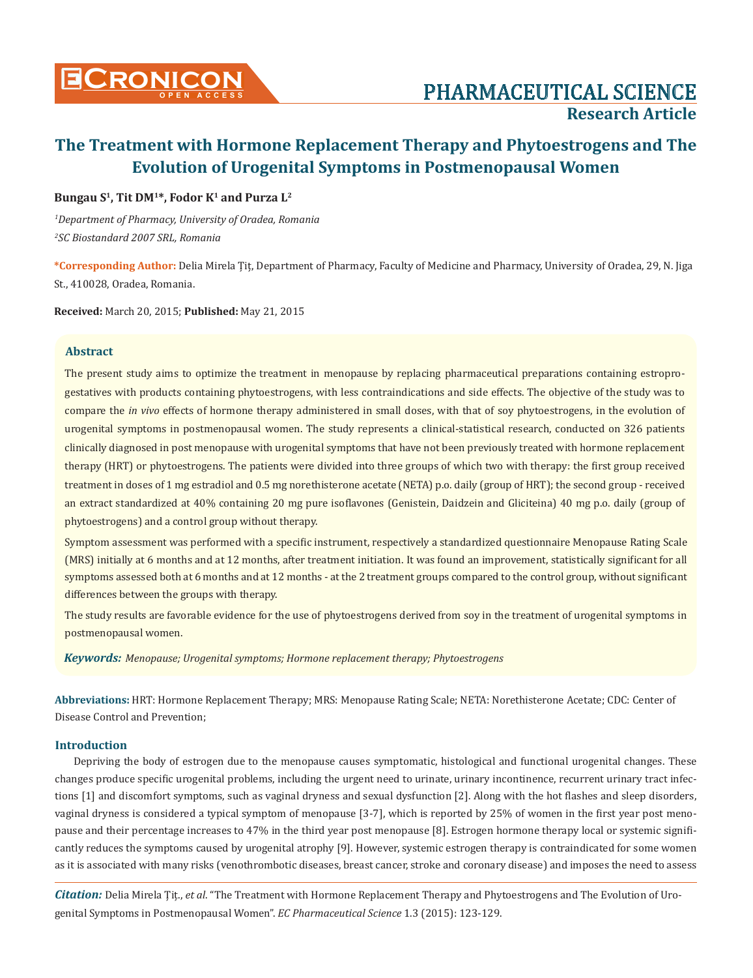

### **Bungau S1, Tit DM1\*, Fodor K1 and Purza L2**

*1 Department of Pharmacy, University of Oradea, Romania 2 SC Biostandard 2007 SRL, Romania*

**\*Corresponding Author:** Delia Mirela Țiț, Department of Pharmacy, Faculty of Medicine and Pharmacy, University of Oradea, 29, N. Jiga St., 410028, Oradea, Romania.

**Received:** March 20, 2015; **Published:** May 21, 2015

### **Abstract**

The present study aims to optimize the treatment in menopause by replacing pharmaceutical preparations containing estroprogestatives with products containing phytoestrogens, with less contraindications and side effects. The objective of the study was to compare the *in vivo* effects of hormone therapy administered in small doses, with that of soy phytoestrogens, in the evolution of urogenital symptoms in postmenopausal women. The study represents a clinical-statistical research, conducted on 326 patients clinically diagnosed in post menopause with urogenital symptoms that have not been previously treated with hormone replacement therapy (HRT) or phytoestrogens. The patients were divided into three groups of which two with therapy: the first group received treatment in doses of 1 mg estradiol and 0.5 mg norethisterone acetate (NETA) p.o. daily (group of HRT); the second group - received an extract standardized at 40% containing 20 mg pure isoflavones (Genistein, Daidzein and Gliciteina) 40 mg p.o. daily (group of phytoestrogens) and a control group without therapy.

Symptom assessment was performed with a specific instrument, respectively a standardized questionnaire Menopause Rating Scale (MRS) initially at 6 months and at 12 months, after treatment initiation. It was found an improvement, statistically significant for all symptoms assessed both at 6 months and at 12 months - at the 2 treatment groups compared to the control group, without significant differences between the groups with therapy.

The study results are favorable evidence for the use of phytoestrogens derived from soy in the treatment of urogenital symptoms in postmenopausal women.

*Keywords: Menopause; Urogenital symptoms; Hormone replacement therapy; Phytoestrogens*

**Abbreviations:** HRT: Hormone Replacement Therapy; MRS: Menopause Rating Scale; NETA: Norethisterone Acetate; CDC: Center of Disease Control and Prevention;

## **Introduction**

Depriving the body of estrogen due to the menopause causes symptomatic, histological and functional urogenital changes. These changes produce specific urogenital problems, including the urgent need to urinate, urinary incontinence, recurrent urinary tract infections [1] and discomfort symptoms, such as vaginal dryness and sexual dysfunction [2]. Along with the hot flashes and sleep disorders, vaginal dryness is considered a typical symptom of menopause [3-7], which is reported by 25% of women in the first year post menopause and their percentage increases to 47% in the third year post menopause [8]. Estrogen hormone therapy local or systemic significantly reduces the symptoms caused by urogenital atrophy [9]. However, systemic estrogen therapy is contraindicated for some women as it is associated with many risks (venothrombotic diseases, breast cancer, stroke and coronary disease) and imposes the need to assess

*Citation:* Delia Mirela Țiț., *et al*. "The Treatment with Hormone Replacement Therapy and Phytoestrogens and The Evolution of Urogenital Symptoms in Postmenopausal Women". *EC Pharmaceutical Science* 1.3 (2015): 123-129.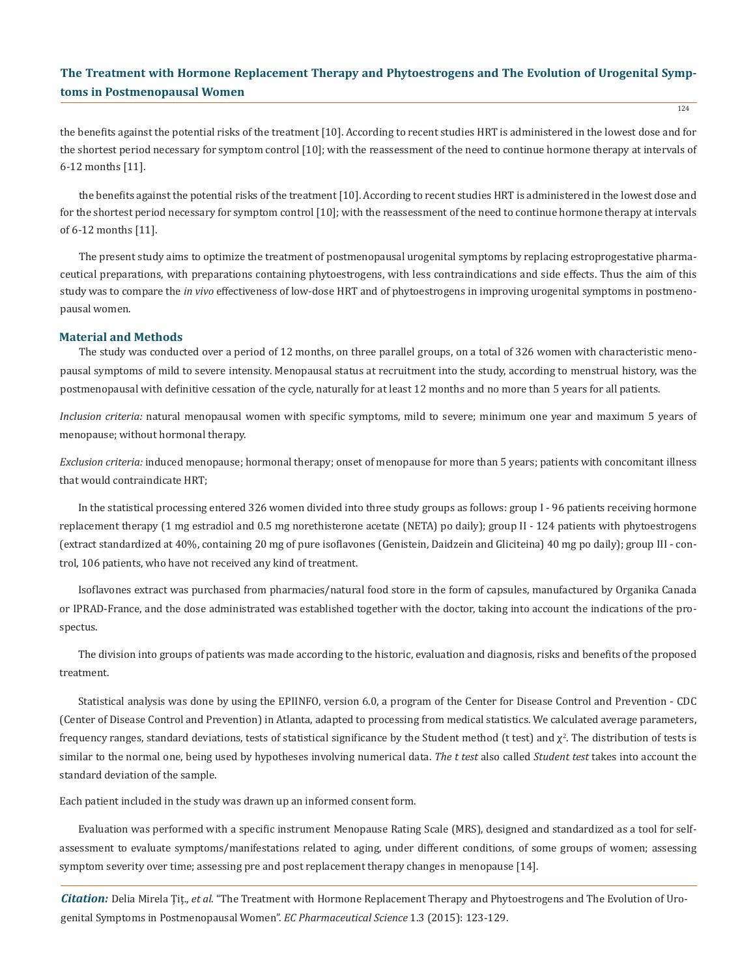the benefits against the potential risks of the treatment [10]. According to recent studies HRT is administered in the lowest dose and for the shortest period necessary for symptom control [10]; with the reassessment of the need to continue hormone therapy at intervals of 6-12 months [11].

the benefits against the potential risks of the treatment [10]. According to recent studies HRT is administered in the lowest dose and for the shortest period necessary for symptom control [10]; with the reassessment of the need to continue hormone therapy at intervals of 6-12 months [11].

The present study aims to optimize the treatment of postmenopausal urogenital symptoms by replacing estroprogestative pharmaceutical preparations, with preparations containing phytoestrogens, with less contraindications and side effects. Thus the aim of this study was to compare the *in vivo* effectiveness of low-dose HRT and of phytoestrogens in improving urogenital symptoms in postmenopausal women.

#### **Material and Methods**

The study was conducted over a period of 12 months, on three parallel groups, on a total of 326 women with characteristic menopausal symptoms of mild to severe intensity. Menopausal status at recruitment into the study, according to menstrual history, was the postmenopausal with definitive cessation of the cycle, naturally for at least 12 months and no more than 5 years for all patients.

*Inclusion criteria:* natural menopausal women with specific symptoms, mild to severe; minimum one year and maximum 5 years of menopause; without hormonal therapy.

*Exclusion criteria:* induced menopause; hormonal therapy; onset of menopause for more than 5 years; patients with concomitant illness that would contraindicate HRT;

In the statistical processing entered 326 women divided into three study groups as follows: group I - 96 patients receiving hormone replacement therapy (1 mg estradiol and 0.5 mg norethisterone acetate (NETA) po daily); group II - 124 patients with phytoestrogens (extract standardized at 40%, containing 20 mg of pure isoflavones (Genistein, Daidzein and Gliciteina) 40 mg po daily); group III - control, 106 patients, who have not received any kind of treatment.

Isoflavones extract was purchased from pharmacies/natural food store in the form of capsules, manufactured by Organika Canada or IPRAD-France, and the dose administrated was established together with the doctor, taking into account the indications of the prospectus.

The division into groups of patients was made according to the historic, evaluation and diagnosis, risks and benefits of the proposed treatment.

Statistical analysis was done by using the EPIINFO, version 6.0, a program of the Center for Disease Control and Prevention - CDC (Center of Disease Control and Prevention) in Atlanta, adapted to processing from medical statistics. We calculated average parameters, frequency ranges, standard deviations, tests of statistical significance by the Student method (t test) and  $\chi^2$ . The distribution of tests is similar to the normal one, being used by hypotheses involving numerical data. *The t test* also called *Student test* takes into account the standard deviation of the sample.

Each patient included in the study was drawn up an informed consent form.

Evaluation was performed with a specific instrument Menopause Rating Scale (MRS), designed and standardized as a tool for selfassessment to evaluate symptoms/manifestations related to aging, under different conditions, of some groups of women; assessing symptom severity over time; assessing pre and post replacement therapy changes in menopause [14].

*Citation:* Delia Mirela Țiț., *et al*. "The Treatment with Hormone Replacement Therapy and Phytoestrogens and The Evolution of Urogenital Symptoms in Postmenopausal Women". *EC Pharmaceutical Science* 1.3 (2015): 123-129.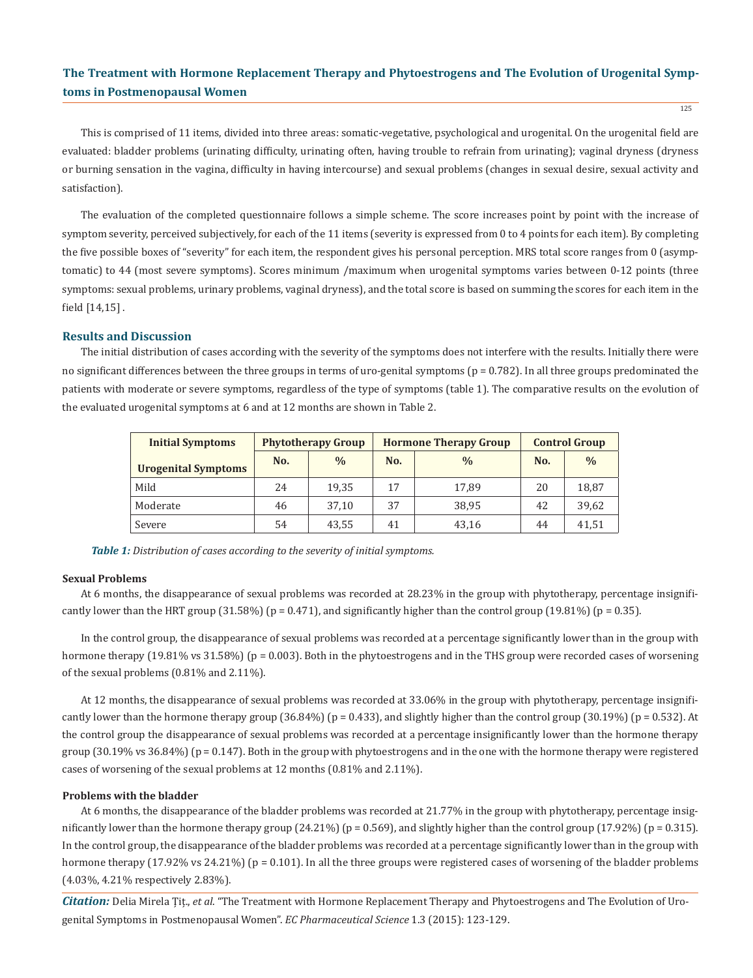125

This is comprised of 11 items, divided into three areas: somatic-vegetative, psychological and urogenital. On the urogenital field are evaluated: bladder problems (urinating difficulty, urinating often, having trouble to refrain from urinating); vaginal dryness (dryness or burning sensation in the vagina, difficulty in having intercourse) and sexual problems (changes in sexual desire, sexual activity and satisfaction).

The evaluation of the completed questionnaire follows a simple scheme. The score increases point by point with the increase of symptom severity, perceived subjectively, for each of the 11 items (severity is expressed from 0 to 4 points for each item). By completing the five possible boxes of "severity" for each item, the respondent gives his personal perception. MRS total score ranges from 0 (asymptomatic) to 44 (most severe symptoms). Scores minimum /maximum when urogenital symptoms varies between 0-12 points (three symptoms: sexual problems, urinary problems, vaginal dryness), and the total score is based on summing the scores for each item in the field [14,15] .

### **Results and Discussion**

The initial distribution of cases according with the severity of the symptoms does not interfere with the results. Initially there were no significant differences between the three groups in terms of uro-genital symptoms ( $p = 0.782$ ). In all three groups predominated the patients with moderate or severe symptoms, regardless of the type of symptoms (table 1). The comparative results on the evolution of the evaluated urogenital symptoms at 6 and at 12 months are shown in Table 2.

| <b>Initial Symptoms</b>    |     | <b>Phytotherapy Group</b> |     | <b>Hormone Therapy Group</b> | <b>Control Group</b> |               |  |
|----------------------------|-----|---------------------------|-----|------------------------------|----------------------|---------------|--|
| <b>Urogenital Symptoms</b> | No. | $\frac{0}{0}$             | No. | $\frac{0}{0}$                | No.                  | $\frac{0}{0}$ |  |
| Mild                       | 24  | 19,35                     | 17  | 17.89                        | 20                   | 18,87         |  |
| Moderate                   | 46  | 37,10                     | 37  | 38,95                        | 42                   | 39,62         |  |
| Severe                     | 54  | 43,55                     | 41  | 43,16                        | 44                   | 41,51         |  |

*Table 1: Distribution of cases according to the severity of initial symptoms.*

#### **Sexual Problems**

At 6 months, the disappearance of sexual problems was recorded at 28.23% in the group with phytotherapy, percentage insignificantly lower than the HRT group (31.58%) ( $p = 0.471$ ), and significantly higher than the control group (19.81%) ( $p = 0.35$ ).

In the control group, the disappearance of sexual problems was recorded at a percentage significantly lower than in the group with hormone therapy (19.81% vs 31.58%) (p = 0.003). Both in the phytoestrogens and in the THS group were recorded cases of worsening of the sexual problems (0.81% and 2.11%).

At 12 months, the disappearance of sexual problems was recorded at 33.06% in the group with phytotherapy, percentage insignificantly lower than the hormone therapy group  $(36.84\%)$  (p = 0.433), and slightly higher than the control group  $(30.19\%)$  (p = 0.532). At the control group the disappearance of sexual problems was recorded at a percentage insignificantly lower than the hormone therapy group  $(30.19\% \text{ vs } 36.84\%)$  ( $p = 0.147$ ). Both in the group with phytoestrogens and in the one with the hormone therapy were registered cases of worsening of the sexual problems at 12 months (0.81% and 2.11%).

#### **Problems with the bladder**

At 6 months, the disappearance of the bladder problems was recorded at 21.77% in the group with phytotherapy, percentage insignificantly lower than the hormone therapy group  $(24.21\%)$  ( $p = 0.569$ ), and slightly higher than the control group  $(17.92\%)$  ( $p = 0.315$ ). In the control group, the disappearance of the bladder problems was recorded at a percentage significantly lower than in the group with hormone therapy (17.92% vs 24.21%) (p = 0.101). In all the three groups were registered cases of worsening of the bladder problems (4.03%, 4.21% respectively 2.83%).

*Citation:* Delia Mirela Țiț., *et al*. "The Treatment with Hormone Replacement Therapy and Phytoestrogens and The Evolution of Urogenital Symptoms in Postmenopausal Women". *EC Pharmaceutical Science* 1.3 (2015): 123-129.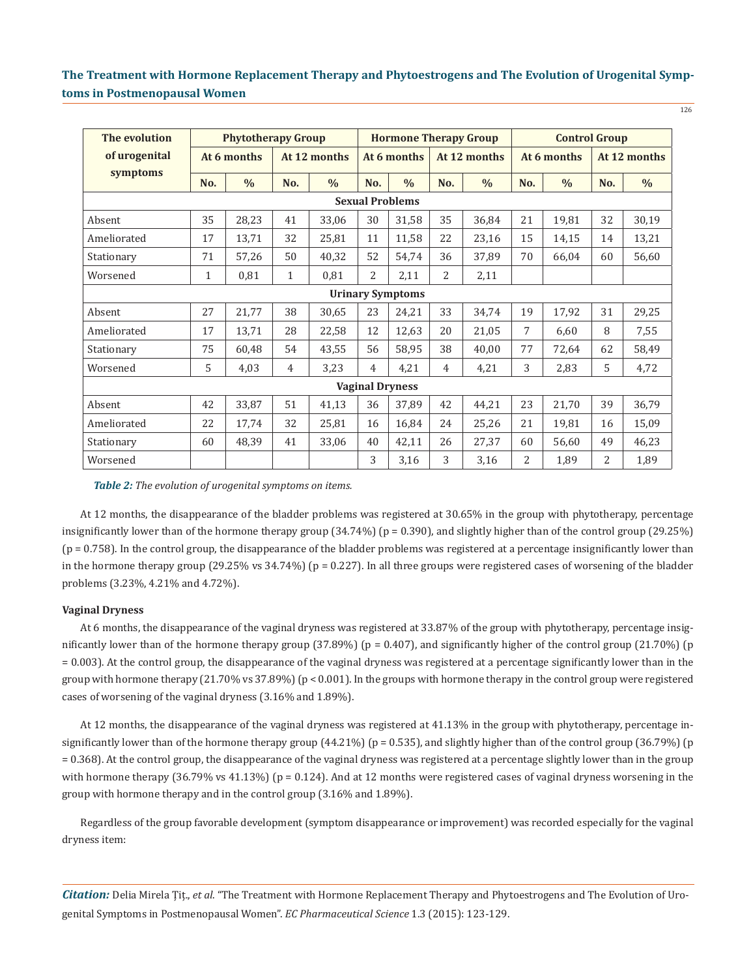| The evolution           | <b>Phytotherapy Group</b> |               |                |               | <b>Hormone Therapy Group</b> |       |                |               | <b>Control Group</b> |               |              |               |
|-------------------------|---------------------------|---------------|----------------|---------------|------------------------------|-------|----------------|---------------|----------------------|---------------|--------------|---------------|
| of urogenital           | At 6 months               |               | At 12 months   |               | At 6 months                  |       | At 12 months   |               | At 6 months          |               | At 12 months |               |
| symptoms                | No.                       | $\frac{0}{0}$ | No.            | $\frac{0}{0}$ | No.                          | $\%$  | No.            | $\frac{0}{0}$ | No.                  | $\frac{0}{0}$ | No.          | $\frac{0}{0}$ |
| <b>Sexual Problems</b>  |                           |               |                |               |                              |       |                |               |                      |               |              |               |
| Absent                  | 35                        | 28,23         | 41             | 33,06         | 30                           | 31,58 | 35             | 36,84         | 21                   | 19,81         | 32           | 30,19         |
| Ameliorated             | 17                        | 13,71         | 32             | 25,81         | 11                           | 11,58 | 22             | 23,16         | 15                   | 14,15         | 14           | 13,21         |
| Stationary              | 71                        | 57,26         | 50             | 40,32         | 52                           | 54,74 | 36             | 37,89         | 70                   | 66,04         | 60           | 56,60         |
| Worsened                | $\mathbf{1}$              | 0,81          | $\mathbf{1}$   | 0,81          | 2                            | 2,11  | 2              | 2,11          |                      |               |              |               |
| <b>Urinary Symptoms</b> |                           |               |                |               |                              |       |                |               |                      |               |              |               |
| Absent                  | 27                        | 21,77         | 38             | 30,65         | 23                           | 24,21 | 33             | 34,74         | 19                   | 17,92         | 31           | 29,25         |
| Ameliorated             | 17                        | 13,71         | 28             | 22,58         | 12                           | 12,63 | 20             | 21,05         | 7                    | 6,60          | 8            | 7,55          |
| Stationary              | 75                        | 60,48         | 54             | 43,55         | 56                           | 58,95 | 38             | 40,00         | 77                   | 72,64         | 62           | 58,49         |
| Worsened                | 5                         | 4,03          | $\overline{4}$ | 3,23          | $\overline{4}$               | 4,21  | $\overline{4}$ | 4,21          | 3                    | 2,83          | 5            | 4,72          |
| <b>Vaginal Dryness</b>  |                           |               |                |               |                              |       |                |               |                      |               |              |               |
| Absent                  | 42                        | 33,87         | 51             | 41,13         | 36                           | 37,89 | 42             | 44,21         | 23                   | 21,70         | 39           | 36,79         |
| Ameliorated             | 22                        | 17,74         | 32             | 25,81         | 16                           | 16,84 | 24             | 25,26         | 21                   | 19,81         | 16           | 15,09         |
| Stationary              | 60                        | 48,39         | 41             | 33,06         | 40                           | 42,11 | 26             | 27,37         | 60                   | 56,60         | 49           | 46,23         |
| Worsened                |                           |               |                |               | 3                            | 3,16  | 3              | 3,16          | 2                    | 1,89          | 2            | 1,89          |

*Table 2: The evolution of urogenital symptoms on items.*

At 12 months, the disappearance of the bladder problems was registered at 30.65% in the group with phytotherapy, percentage insignificantly lower than of the hormone therapy group (34.74%) (p = 0.390), and slightly higher than of the control group (29.25%)  $(p = 0.758)$ . In the control group, the disappearance of the bladder problems was registered at a percentage insignificantly lower than in the hormone therapy group  $(29.25\% \text{ vs } 34.74\%)$  (p = 0.227). In all three groups were registered cases of worsening of the bladder problems (3.23%, 4.21% and 4.72%).

### **Vaginal Dryness**

At 6 months, the disappearance of the vaginal dryness was registered at 33.87% of the group with phytotherapy, percentage insignificantly lower than of the hormone therapy group  $(37.89\%)$  ( $p = 0.407$ ), and significantly higher of the control group  $(21.70\%)$  (p = 0.003). At the control group, the disappearance of the vaginal dryness was registered at a percentage significantly lower than in the group with hormone therapy (21.70% vs 37.89%) (p < 0.001). In the groups with hormone therapy in the control group were registered cases of worsening of the vaginal dryness (3.16% and 1.89%).

At 12 months, the disappearance of the vaginal dryness was registered at 41.13% in the group with phytotherapy, percentage insignificantly lower than of the hormone therapy group  $(44.21\%)$  (p = 0.535), and slightly higher than of the control group  $(36.79\%)$  (p = 0.368). At the control group, the disappearance of the vaginal dryness was registered at a percentage slightly lower than in the group with hormone therapy (36.79% vs 41.13%) (p = 0.124). And at 12 months were registered cases of vaginal dryness worsening in the group with hormone therapy and in the control group (3.16% and 1.89%).

Regardless of the group favorable development (symptom disappearance or improvement) was recorded especially for the vaginal dryness item:

*Citation:* Delia Mirela Țiț., *et al*. "The Treatment with Hormone Replacement Therapy and Phytoestrogens and The Evolution of Urogenital Symptoms in Postmenopausal Women". *EC Pharmaceutical Science* 1.3 (2015): 123-129.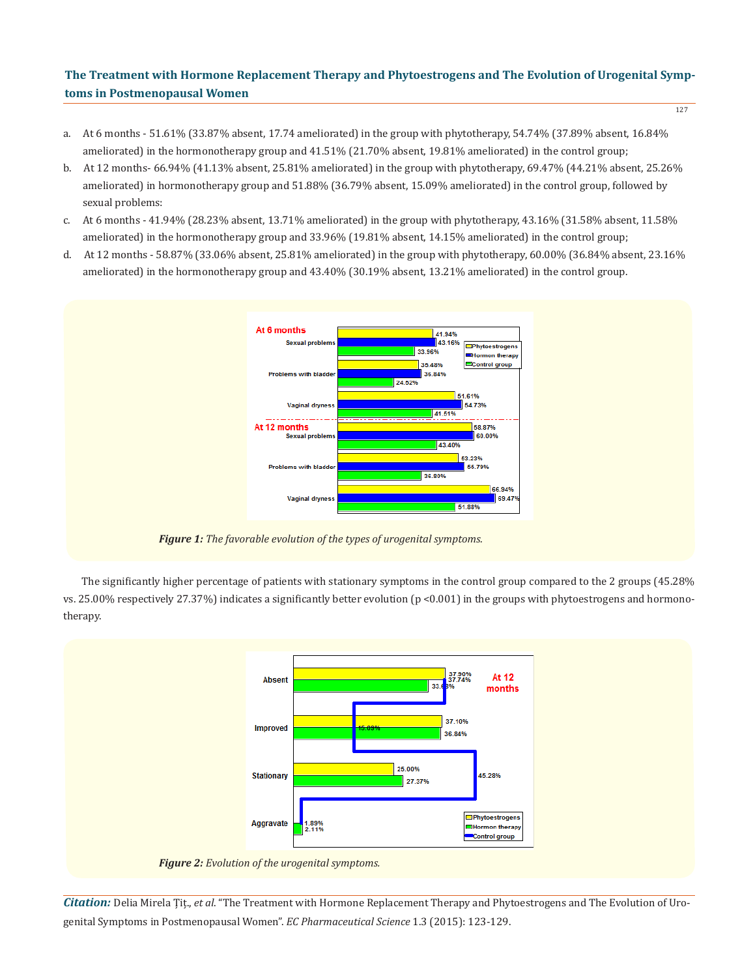- a. At 6 months  $51.61\%$  (33.87% absent, 17.74 ameliorated) in the group with phytotherapy,  $54.74\%$  (37.89% absent, 16.84%) ameliorated) in the hormonotherapy group and 41.51% (21.70% absent, 19.81% ameliorated) in the control group;
- b. At 12 months- 66.94% (41.13% absent, 25.81% ameliorated) in the group with phytotherapy, 69.47% (44.21% absent, 25.26% ameliorated) in hormonotherapy group and 51.88% (36.79% absent, 15.09% ameliorated) in the control group, followed by sexual problems:
- c. At 6 months 41.94% (28.23% absent, 13.71% ameliorated) in the group with phytotherapy, 43.16% (31.58% absent, 11.58% ameliorated) in the hormonotherapy group and 33.96% (19.81% absent, 14.15% ameliorated) in the control group;
- d. At 12 months 58.87% (33.06% absent, 25.81% ameliorated) in the group with phytotherapy, 60.00% (36.84% absent, 23.16% ameliorated) in the hormonotherapy group and 43.40% (30.19% absent, 13.21% ameliorated) in the control group.



*Figure 1: The favorable evolution of the types of urogenital symptoms.*

The significantly higher percentage of patients with stationary symptoms in the control group compared to the 2 groups (45.28% vs. 25.00% respectively 27.37%) indicates a significantly better evolution (p <0.001) in the groups with phytoestrogens and hormonotherapy.



*Citation:* Delia Mirela Țiț., *et al*. "The Treatment with Hormone Replacement Therapy and Phytoestrogens and The Evolution of Urogenital Symptoms in Postmenopausal Women". *EC Pharmaceutical Science* 1.3 (2015): 123-129.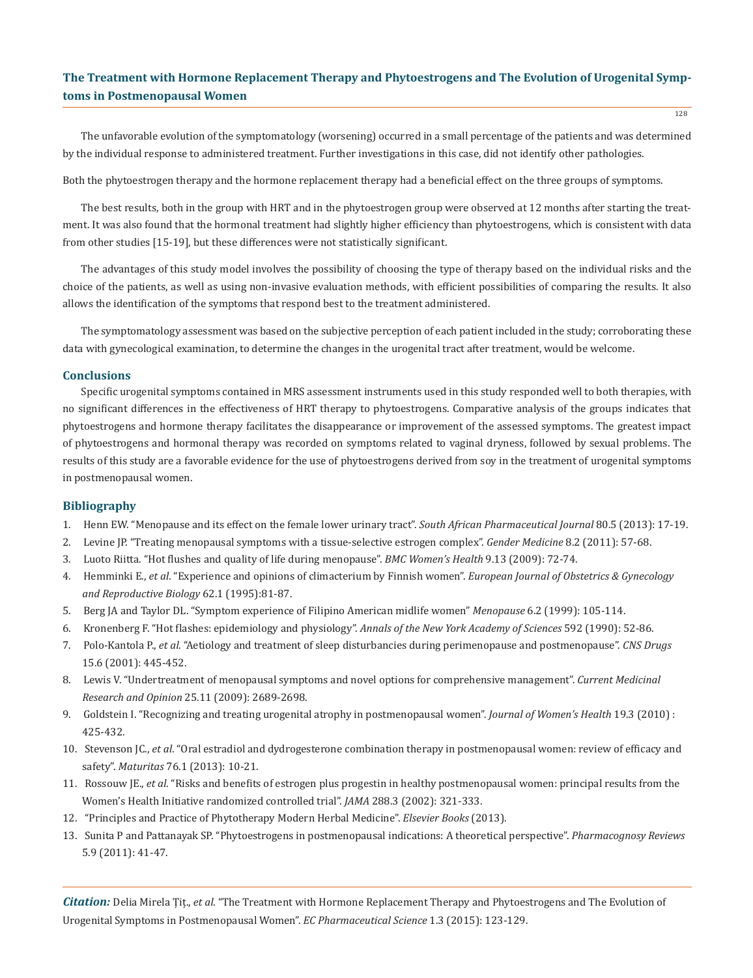The unfavorable evolution of the symptomatology (worsening) occurred in a small percentage of the patients and was determined by the individual response to administered treatment. Further investigations in this case, did not identify other pathologies.

Both the phytoestrogen therapy and the hormone replacement therapy had a beneficial effect on the three groups of symptoms.

The best results, both in the group with HRT and in the phytoestrogen group were observed at 12 months after starting the treatment. It was also found that the hormonal treatment had slightly higher efficiency than phytoestrogens, which is consistent with data from other studies [15-19], but these differences were not statistically significant.

The advantages of this study model involves the possibility of choosing the type of therapy based on the individual risks and the choice of the patients, as well as using non-invasive evaluation methods, with efficient possibilities of comparing the results. It also allows the identification of the symptoms that respond best to the treatment administered.

The symptomatology assessment was based on the subjective perception of each patient included in the study; corroborating these data with gynecological examination, to determine the changes in the urogenital tract after treatment, would be welcome.

### **Conclusions**

Specific urogenital symptoms contained in MRS assessment instruments used in this study responded well to both therapies, with no significant differences in the effectiveness of HRT therapy to phytoestrogens. Comparative analysis of the groups indicates that phytoestrogens and hormone therapy facilitates the disappearance or improvement of the assessed symptoms. The greatest impact of phytoestrogens and hormonal therapy was recorded on symptoms related to vaginal dryness, followed by sexual problems. The results of this study are a favorable evidence for the use of phytoestrogens derived from soy in the treatment of urogenital symptoms in postmenopausal women.

### **Bibliography**

- 1. Henn EW. "Menopause and its effect on the female lower urinary tract". *South African Pharmaceutical Journal* 80.5 (2013): 17-19.
- 2. Levine JP. "Treating menopausal symptoms with a tissue-selective estrogen complex". *Gender Medicine* 8.2 (2011): 57-68.
- 3. Luoto Riitta. "Hot flushes and quality of life during menopause". *BMC Women's Health* 9.13 (2009): 72-74.
- 4. Hemminki E., *et al*. "Experience and opinions of climacterium by Finnish women". *European Journal of Obstetrics & Gynecology and Reproductive Biology* 62.1 (1995):81-87.
- 5. Berg JA and Taylor DL. "Symptom experience of Filipino American midlife women" *Menopause* 6.2 (1999): 105-114.
- 6. Kronenberg F. "Hot flashes: epidemiology and physiology". *Annals of the New York Academy of Sciences* 592 (1990): 52-86.
- 7. Polo-Kantola P., *et al*. "Aetiology and treatment of sleep disturbancies during perimenopause and postmenopause". *CNS Drugs*  15.6 (2001): 445-452.
- 8. Lewis V. "Undertreatment of menopausal symptoms and novel options for comprehensive management". *Current Medicinal Research and Opinion* 25.11 (2009): 2689-2698.
- 9. Goldstein I. "Recognizing and treating urogenital atrophy in postmenopausal women". *Journal of Women's Health* 19.3 (2010) : 425-432.
- 10. Stevenson JC., *et al*. "Oral estradiol and dydrogesterone combination therapy in postmenopausal women: review of efficacy and safety". *Maturitas* 76.1 (2013): 10-21.
- 11. Rossouw JE., *et al*. "Risks and benefits of estrogen plus progestin in healthy postmenopausal women: principal results from the Women's Health Initiative randomized controlled trial". *JAMA* 288.3 (2002): 321-333.
- 12. "Principles and Practice of Phytotherapy Modern Herbal Medicine". *Elsevier Books* (2013).
- 13. Sunita P and Pattanayak SP. "Phytoestrogens in postmenopausal indications: A theoretical perspective". *Pharmacognosy Reviews* 5.9 (2011): 41-47.

*Citation:* Delia Mirela Țiț., *et al*. "The Treatment with Hormone Replacement Therapy and Phytoestrogens and The Evolution of Urogenital Symptoms in Postmenopausal Women". *EC Pharmaceutical Science* 1.3 (2015): 123-129.